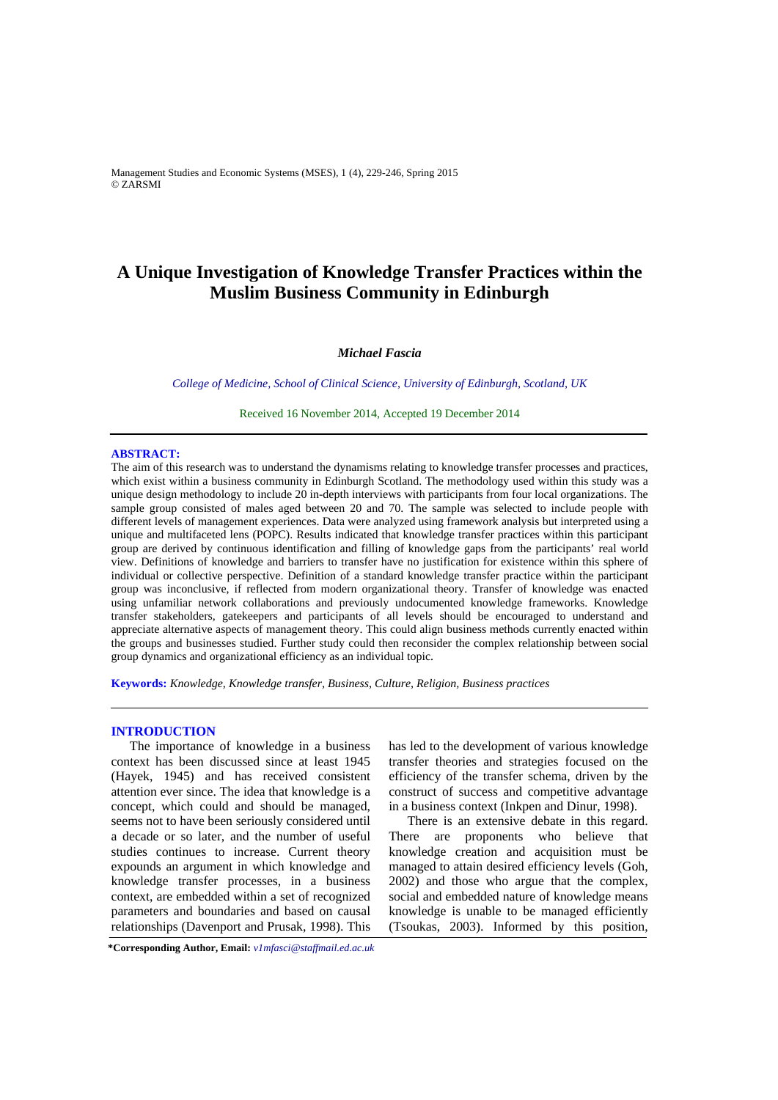Management Studies and Economic Systems (MSES), 1 (4), 229-246, Spring 2015 © ZARSMI

# **A Unique Investigation of Knowledge Transfer Practices within the Muslim Business Community in Edinburgh**

# *Michael Fascia*

*College of Medicine, School of Clinical Science, University of Edinburgh, Scotland, UK*

Received 16 November 2014, Accepted 19 December 2014

### **ABSTRACT:**

The aim of this research was to understand the dynamisms relating to knowledge transfer processes and practices, which exist within a business community in Edinburgh Scotland. The methodology used within this study was a unique design methodology to include 20 in-depth interviews with participants from four local organizations. The sample group consisted of males aged between 20 and 70. The sample was selected to include people with different levels of management experiences. Data were analyzed using framework analysis but interpreted using a unique and multifaceted lens (POPC). Results indicated that knowledge transfer practices within this participant group are derived by continuous identification and filling of knowledge gaps from the participants' real world view. Definitions of knowledge and barriers to transfer have no justification for existence within this sphere of individual or collective perspective. Definition of a standard knowledge transfer practice within the participant group was inconclusive, if reflected from modern organizational theory. Transfer of knowledge was enacted using unfamiliar network collaborations and previously undocumented knowledge frameworks. Knowledge transfer stakeholders, gatekeepers and participants of all levels should be encouraged to understand and appreciate alternative aspects of management theory. This could align business methods currently enacted within the groups and businesses studied. Further study could then reconsider the complex relationship between social group dynamics and organizational efficiency as an individual topic.

**Keywords:** *Knowledge, Knowledge transfer, Business, Culture, Religion, Business practices* 

#### **INTRODUCTION**

The importance of knowledge in a business context has been discussed since at least 1945 (Hayek, 1945) and has received consistent attention ever since. The idea that knowledge is a concept, which could and should be managed, seems not to have been seriously considered until a decade or so later, and the number of useful studies continues to increase. Current theory expounds an argument in which knowledge and knowledge transfer processes, in a business context, are embedded within a set of recognized parameters and boundaries and based on causal relationships (Davenport and Prusak, 1998). This has led to the development of various knowledge transfer theories and strategies focused on the efficiency of the transfer schema, driven by the construct of success and competitive advantage in a business context (Inkpen and Dinur, 1998).

There is an extensive debate in this regard. There are proponents who believe that knowledge creation and acquisition must be managed to attain desired efficiency levels (Goh, 2002) and those who argue that the complex, social and embedded nature of knowledge means knowledge is unable to be managed efficiently (Tsoukas, 2003). Informed by this position,

**\*Corresponding Author, Email:** *v1mfasci@staffmail.ed.ac.uk*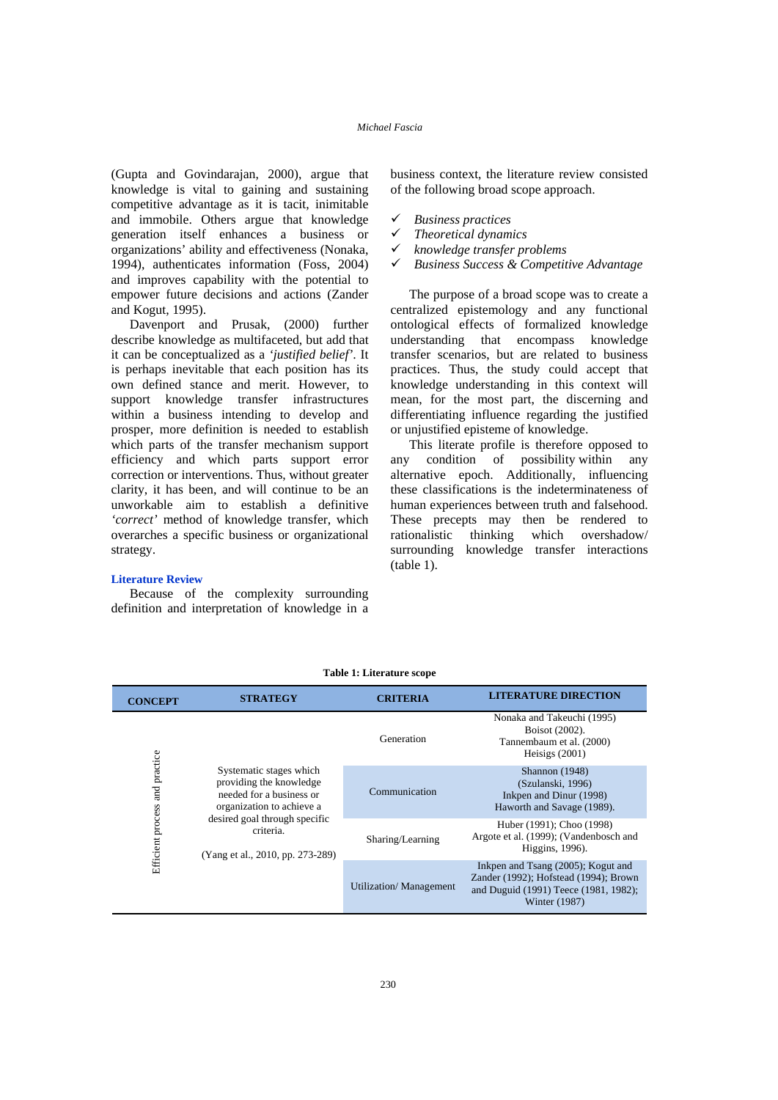(Gupta and Govindarajan, 2000), argue that knowledge is vital to gaining and sustaining competitive advantage as it is tacit, inimitable and immobile. Others argue that knowledge generation itself enhances a business or organizations' ability and effectiveness (Nonaka, 1994), authenticates information (Foss, 2004) and improves capability with the potential to empower future decisions and actions (Zander and Kogut, 1995).

Davenport and Prusak, (2000) further describe knowledge as multifaceted, but add that it can be conceptualized as a *'justified belief'*. It is perhaps inevitable that each position has its own defined stance and merit. However, to support knowledge transfer infrastructures within a business intending to develop and prosper, more definition is needed to establish which parts of the transfer mechanism support efficiency and which parts support error correction or interventions. Thus, without greater clarity, it has been, and will continue to be an unworkable aim to establish a definitive *'correct'* method of knowledge transfer, which overarches a specific business or organizational strategy.

#### **Literature Review**

Because of the complexity surrounding definition and interpretation of knowledge in a business context, the literature review consisted of the following broad scope approach.

- *Business practices*
- *Theoretical dynamics*
- *knowledge transfer problems*
- *Business Success & Competitive Advantage*

The purpose of a broad scope was to create a centralized epistemology and any functional ontological effects of formalized knowledge understanding that encompass knowledge transfer scenarios, but are related to business practices. Thus, the study could accept that knowledge understanding in this context will mean, for the most part, the discerning and differentiating influence regarding the justified or unjustified episteme of knowledge.

This literate profile is therefore opposed to any condition of possibility within any alternative epoch. Additionally, influencing these classifications is the indeterminateness of human experiences between truth and falsehood. These precepts may then be rendered to rationalistic thinking which overshadow/ surrounding knowledge transfer interactions (table 1).

| <b>CONCEPT</b>    | <b>STRATEGY</b>                                                                                             | <b>CRITERIA</b>                                                                              | <b>LITERATURE DIRECTION</b>                                                                                                           |  |  |
|-------------------|-------------------------------------------------------------------------------------------------------------|----------------------------------------------------------------------------------------------|---------------------------------------------------------------------------------------------------------------------------------------|--|--|
|                   |                                                                                                             | Nonaka and Takeuchi (1995)<br>Boisot (2002).<br>Tannembaum et al. (2000)<br>Heisigs $(2001)$ |                                                                                                                                       |  |  |
| and practice      | Systematic stages which<br>providing the knowledge<br>needed for a business or<br>organization to achieve a | Communication                                                                                |                                                                                                                                       |  |  |
| Efficient process | desired goal through specific<br>criteria.<br>(Yang et al., 2010, pp. 273-289)                              | Sharing/Learning                                                                             | Huber (1991); Choo (1998)<br>Argote et al. (1999); (Vandenbosch and<br>Higgins, 1996).                                                |  |  |
|                   |                                                                                                             | <b>Utilization/</b> Management                                                               | Inkpen and Tsang (2005); Kogut and<br>Zander (1992); Hofstead (1994); Brown<br>and Duguid (1991) Teece (1981, 1982);<br>Winter (1987) |  |  |

#### **Table 1: Literature scope**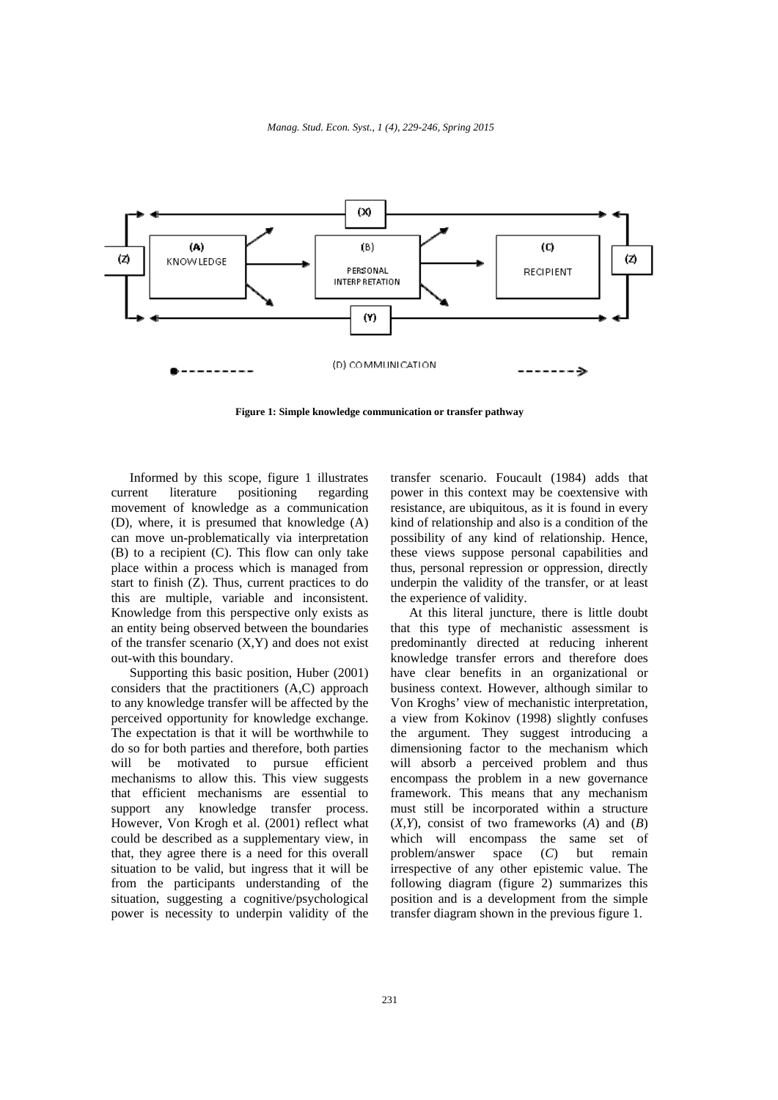*Manag. Stud. Econ. Syst., 1 (4), 229-246, Spring 2015*



**Figure 1: Simple knowledge communication or transfer pathway** 

Informed by this scope, figure 1 illustrates current literature positioning regarding movement of knowledge as a communication (D), where, it is presumed that knowledge (A) can move un-problematically via interpretation (B) to a recipient (C). This flow can only take place within a process which is managed from start to finish (Z). Thus, current practices to do this are multiple, variable and inconsistent. Knowledge from this perspective only exists as an entity being observed between the boundaries of the transfer scenario  $(X, Y)$  and does not exist out-with this boundary.

Supporting this basic position, Huber (2001) considers that the practitioners (A,C) approach to any knowledge transfer will be affected by the perceived opportunity for knowledge exchange. The expectation is that it will be worthwhile to do so for both parties and therefore, both parties will be motivated to pursue efficient mechanisms to allow this. This view suggests that efficient mechanisms are essential to support any knowledge transfer process. However, Von Krogh et al. (2001) reflect what could be described as a supplementary view, in that, they agree there is a need for this overall situation to be valid, but ingress that it will be from the participants understanding of the situation, suggesting a cognitive/psychological power is necessity to underpin validity of the

transfer scenario. Foucault (1984) adds that power in this context may be coextensive with resistance, are ubiquitous, as it is found in every kind of relationship and also is a condition of the possibility of any kind of relationship. Hence, these views suppose personal capabilities and thus, personal repression or oppression, directly underpin the validity of the transfer, or at least the experience of validity.

At this literal juncture, there is little doubt that this type of mechanistic assessment is predominantly directed at reducing inherent knowledge transfer errors and therefore does have clear benefits in an organizational or business context. However, although similar to Von Kroghs' view of mechanistic interpretation, a view from Kokinov (1998) slightly confuses the argument. They suggest introducing a dimensioning factor to the mechanism which will absorb a perceived problem and thus encompass the problem in a new governance framework. This means that any mechanism must still be incorporated within a structure (*X,Y*), consist of two frameworks (*A*) and (*B*) which will encompass the same set of problem/answer space (*C*) but remain irrespective of any other epistemic value. The following diagram (figure 2) summarizes this position and is a development from the simple transfer diagram shown in the previous figure 1.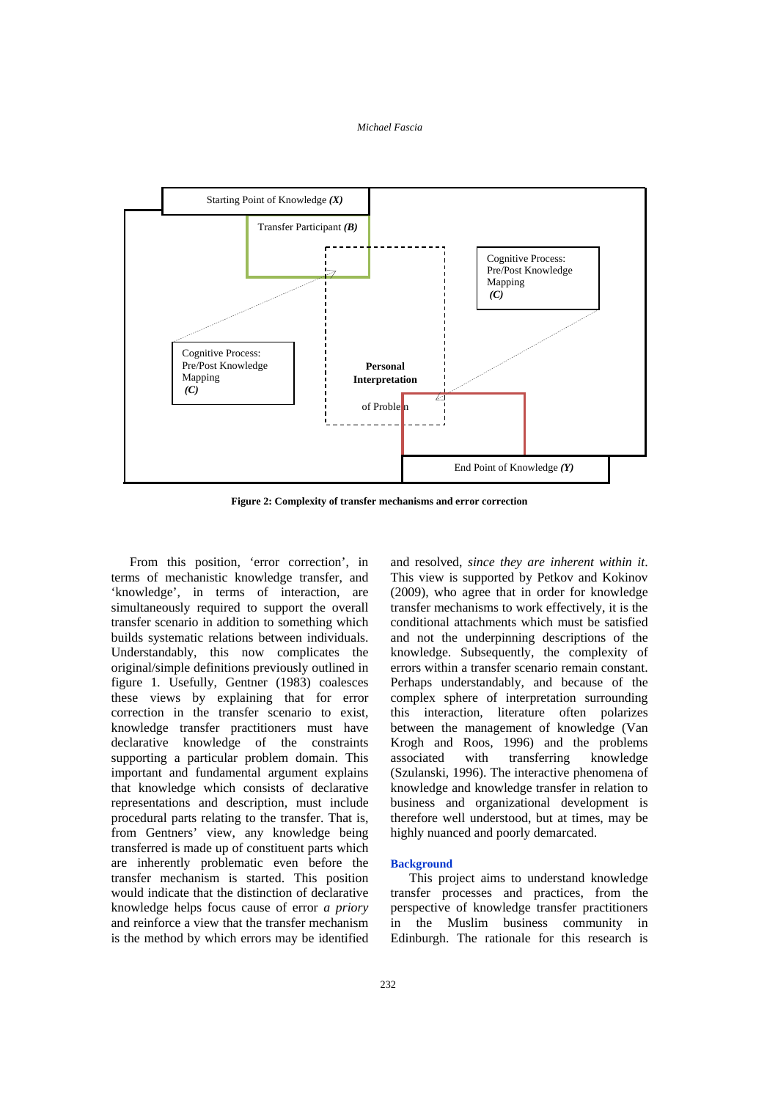

**Figure 2: Complexity of transfer mechanisms and error correction** 

From this position, 'error correction', in terms of mechanistic knowledge transfer, and 'knowledge', in terms of interaction, are simultaneously required to support the overall transfer scenario in addition to something which builds systematic relations between individuals. Understandably, this now complicates the original/simple definitions previously outlined in figure 1*.* Usefully, Gentner (1983) coalesces these views by explaining that for error correction in the transfer scenario to exist, knowledge transfer practitioners must have declarative knowledge of the constraints supporting a particular problem domain. This important and fundamental argument explains that knowledge which consists of declarative representations and description, must include procedural parts relating to the transfer. That is, from Gentners' view, any knowledge being transferred is made up of constituent parts which are inherently problematic even before the transfer mechanism is started. This position would indicate that the distinction of declarative knowledge helps focus cause of error *a priory* and reinforce a view that the transfer mechanism is the method by which errors may be identified

and resolved, *since they are inherent within it*. This view is supported by Petkov and Kokinov (2009), who agree that in order for knowledge transfer mechanisms to work effectively, it is the conditional attachments which must be satisfied and not the underpinning descriptions of the knowledge. Subsequently, the complexity of errors within a transfer scenario remain constant. Perhaps understandably, and because of the complex sphere of interpretation surrounding this interaction, literature often polarizes between the management of knowledge (Van Krogh and Roos, 1996) and the problems associated with transferring knowledge (Szulanski, 1996). The interactive phenomena of knowledge and knowledge transfer in relation to business and organizational development is therefore well understood, but at times, may be highly nuanced and poorly demarcated.

#### **Background**

This project aims to understand knowledge transfer processes and practices, from the perspective of knowledge transfer practitioners in the Muslim business community in Edinburgh. The rationale for this research is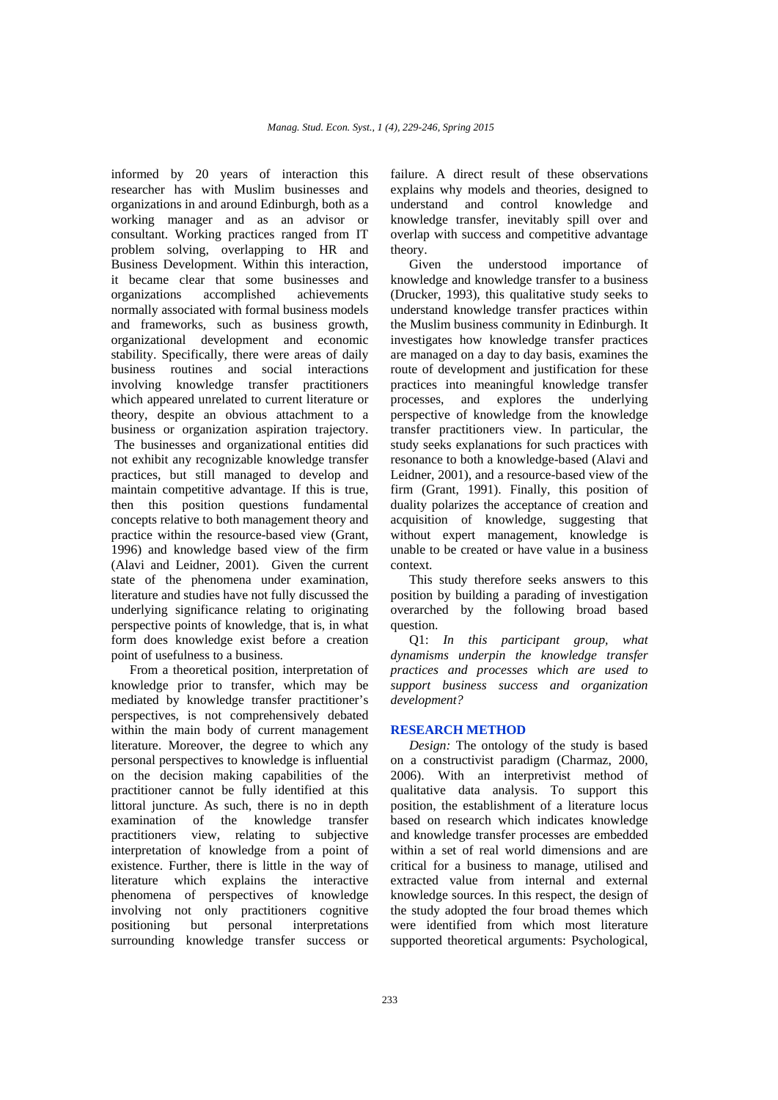informed by 20 years of interaction this researcher has with Muslim businesses and organizations in and around Edinburgh, both as a working manager and as an advisor or consultant. Working practices ranged from IT problem solving, overlapping to HR and Business Development. Within this interaction, it became clear that some businesses and<br>organizations accomplished achievements accomplished achievements normally associated with formal business models and frameworks, such as business growth, organizational development and economic stability. Specifically, there were areas of daily business routines and social interactions involving knowledge transfer practitioners which appeared unrelated to current literature or theory, despite an obvious attachment to a business or organization aspiration trajectory. The businesses and organizational entities did not exhibit any recognizable knowledge transfer practices, but still managed to develop and maintain competitive advantage. If this is true, then this position questions fundamental concepts relative to both management theory and practice within the resource-based view (Grant, 1996) and knowledge based view of the firm (Alavi and Leidner, 2001). Given the current state of the phenomena under examination, literature and studies have not fully discussed the underlying significance relating to originating perspective points of knowledge, that is, in what form does knowledge exist before a creation point of usefulness to a business.

From a theoretical position, interpretation of knowledge prior to transfer, which may be mediated by knowledge transfer practitioner's perspectives, is not comprehensively debated within the main body of current management literature. Moreover, the degree to which any personal perspectives to knowledge is influential on the decision making capabilities of the practitioner cannot be fully identified at this littoral juncture. As such, there is no in depth examination of the knowledge transfer practitioners view, relating to subjective interpretation of knowledge from a point of existence. Further, there is little in the way of literature which explains the interactive phenomena of perspectives of knowledge involving not only practitioners cognitive<br>positioning but personal interpretations positioning but personal interpretations surrounding knowledge transfer success or

failure. A direct result of these observations explains why models and theories, designed to understand and control knowledge and knowledge transfer, inevitably spill over and overlap with success and competitive advantage theory.

Given the understood importance knowledge and knowledge transfer to a business (Drucker, 1993), this qualitative study seeks to understand knowledge transfer practices within the Muslim business community in Edinburgh. It investigates how knowledge transfer practices are managed on a day to day basis, examines the route of development and justification for these practices into meaningful knowledge transfer processes, and explores the underlying perspective of knowledge from the knowledge transfer practitioners view. In particular, the study seeks explanations for such practices with resonance to both a knowledge-based (Alavi and Leidner, 2001), and a resource-based view of the firm (Grant, 1991). Finally, this position of duality polarizes the acceptance of creation and acquisition of knowledge, suggesting that without expert management, knowledge is unable to be created or have value in a business context.

This study therefore seeks answers to this position by building a parading of investigation overarched by the following broad based question.

Q1: *In this participant group, what dynamisms underpin the knowledge transfer practices and processes which are used to support business success and organization development?*

### **RESEARCH METHOD**

*Design:* The ontology of the study is based on a constructivist paradigm (Charmaz, 2000, 2006). With an interpretivist method of qualitative data analysis. To support this position, the establishment of a literature locus based on research which indicates knowledge and knowledge transfer processes are embedded within a set of real world dimensions and are critical for a business to manage, utilised and extracted value from internal and external knowledge sources. In this respect, the design of the study adopted the four broad themes which were identified from which most literature supported theoretical arguments: Psychological,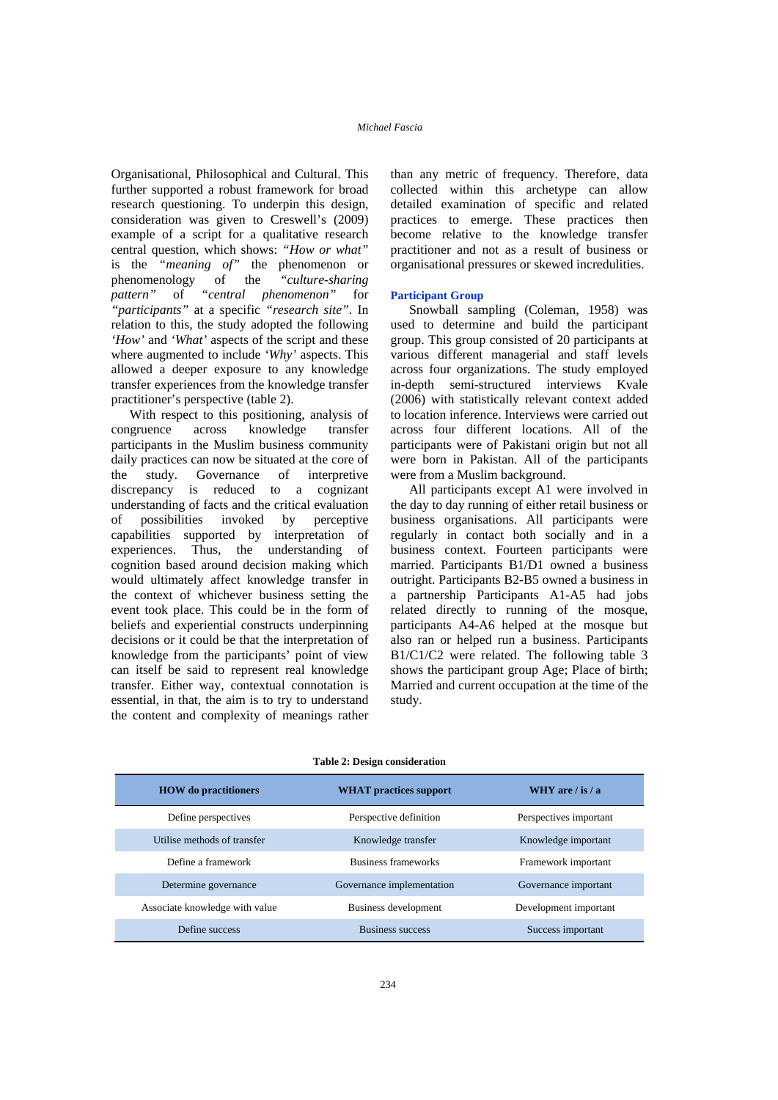Organisational, Philosophical and Cultural. This further supported a robust framework for broad research questioning. To underpin this design, consideration was given to Creswell's (2009) example of a script for a qualitative research central question, which shows: *"How or what"* is the *"meaning of"* the phenomenon or phenomenology of the *"culture-sharing pattern"* of *"central phenomenon"* for *"participants"* at a specific *"research site".* In relation to this, the study adopted the following *'How'* and *'What'* aspects of the script and these where augmented to include *'Why'* aspects. This allowed a deeper exposure to any knowledge transfer experiences from the knowledge transfer practitioner's perspective (table 2).

With respect to this positioning, analysis of congruence across knowledge transfer participants in the Muslim business community daily practices can now be situated at the core of the study. Governance of interpretive discrepancy is reduced to a cognizant understanding of facts and the critical evaluation of possibilities invoked by perceptive capabilities supported by interpretation of experiences. Thus, the understanding of cognition based around decision making which would ultimately affect knowledge transfer in the context of whichever business setting the event took place. This could be in the form of beliefs and experiential constructs underpinning decisions or it could be that the interpretation of knowledge from the participants' point of view can itself be said to represent real knowledge transfer. Either way, contextual connotation is essential, in that, the aim is to try to understand the content and complexity of meanings rather

than any metric of frequency. Therefore, data collected within this archetype can allow detailed examination of specific and related practices to emerge. These practices then become relative to the knowledge transfer practitioner and not as a result of business or organisational pressures or skewed incredulities.

#### **Participant Group**

Snowball sampling (Coleman, 1958) was used to determine and build the participant group. This group consisted of 20 participants at various different managerial and staff levels across four organizations. The study employed in-depth semi-structured interviews Kvale (2006) with statistically relevant context added to location inference. Interviews were carried out across four different locations. All of the participants were of Pakistani origin but not all were born in Pakistan. All of the participants were from a Muslim background.

All participants except A1 were involved in the day to day running of either retail business or business organisations. All participants were regularly in contact both socially and in a business context. Fourteen participants were married. Participants B1/D1 owned a business outright. Participants B2-B5 owned a business in a partnership Participants A1-A5 had jobs related directly to running of the mosque, participants A4-A6 helped at the mosque but also ran or helped run a business. Participants B1/C1/C2 were related. The following table 3 shows the participant group Age; Place of birth; Married and current occupation at the time of the study.

| <b>HOW</b> do practitioners    | <b>WHAT</b> practices support | WHY are $\frac{1}{18}$ a |  |  |  |  |
|--------------------------------|-------------------------------|--------------------------|--|--|--|--|
| Define perspectives            | Perspective definition        | Perspectives important   |  |  |  |  |
| Utilise methods of transfer    | Knowledge transfer            | Knowledge important      |  |  |  |  |
| Define a framework             | Business frameworks           | Framework important      |  |  |  |  |
| Determine governance           | Governance implementation     | Governance important     |  |  |  |  |
| Associate knowledge with value | Business development          | Development important    |  |  |  |  |
| Define success                 | <b>Business success</b>       | Success important        |  |  |  |  |

#### **Table 2: Design consideration**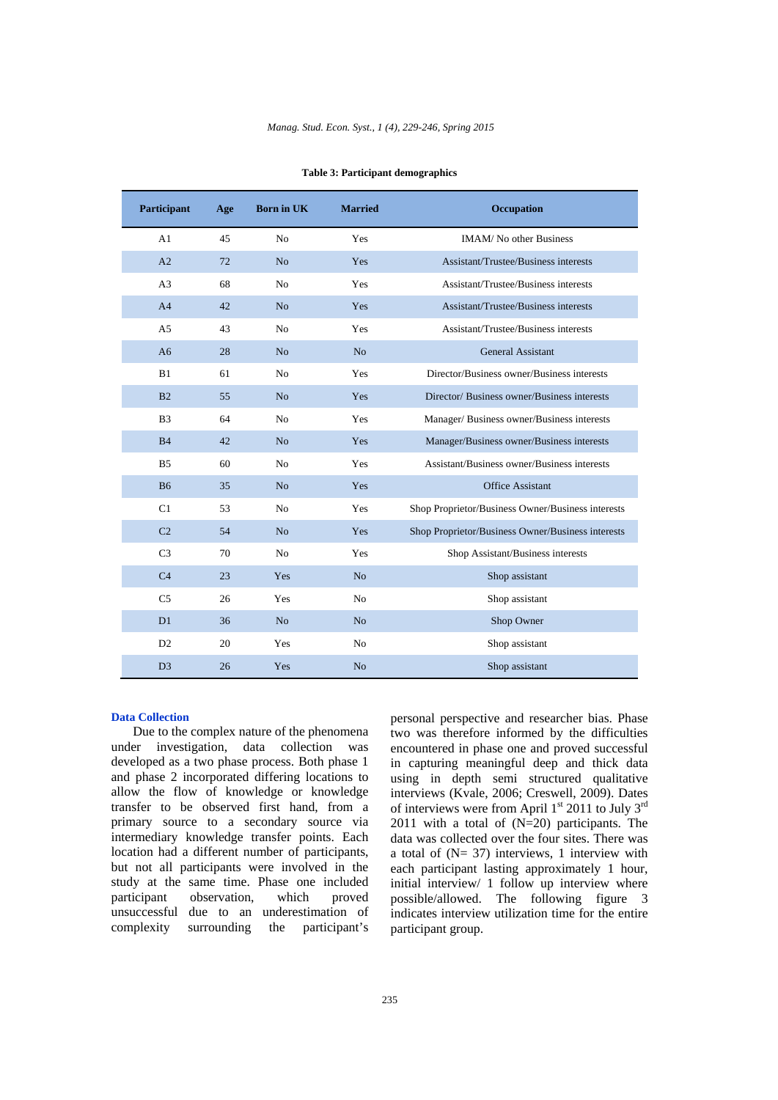| Participant    | Age | <b>Born in UK</b> | <b>Married</b> | <b>Occupation</b>                                 |
|----------------|-----|-------------------|----------------|---------------------------------------------------|
| A1             | 45  | N <sub>0</sub>    | Yes            | <b>IMAM/</b> No other Business                    |
| A <sub>2</sub> | 72  | N <sub>o</sub>    | Yes            | Assistant/Trustee/Business interests              |
| A <sub>3</sub> | 68  | N <sub>o</sub>    | Yes            | Assistant/Trustee/Business interests              |
| A <sub>4</sub> | 42  | N <sub>o</sub>    | Yes            | Assistant/Trustee/Business interests              |
| A <sub>5</sub> | 43  | N <sub>0</sub>    | Yes            | Assistant/Trustee/Business interests              |
| A6             | 28  | N <sub>o</sub>    | N <sub>o</sub> | General Assistant                                 |
| B1             | 61  | N <sub>0</sub>    | Yes            | Director/Business owner/Business interests        |
| B <sub>2</sub> | 55  | N <sub>o</sub>    | Yes            | Director/Business owner/Business interests        |
| B <sub>3</sub> | 64  | N <sub>0</sub>    | Yes            | Manager/ Business owner/Business interests        |
| <b>B4</b>      | 42  | N <sub>o</sub>    | Yes            | Manager/Business owner/Business interests         |
| B <sub>5</sub> | 60  | No                | Yes            | Assistant/Business owner/Business interests       |
| <b>B6</b>      | 35  | N <sub>o</sub>    | Yes            | <b>Office Assistant</b>                           |
| C1             | 53  | N <sub>0</sub>    | Yes            | Shop Proprietor/Business Owner/Business interests |
| C <sub>2</sub> | 54  | N <sub>o</sub>    | Yes            | Shop Proprietor/Business Owner/Business interests |
| C <sub>3</sub> | 70  | N <sub>o</sub>    | Yes            | Shop Assistant/Business interests                 |
| C <sub>4</sub> | 23  | Yes               | N <sub>o</sub> | Shop assistant                                    |
| C <sub>5</sub> | 26  | <b>Yes</b>        | N <sub>o</sub> | Shop assistant                                    |
| D1             | 36  | N <sub>o</sub>    | N <sub>o</sub> | Shop Owner                                        |
| D2             | 20  | Yes               | N <sub>o</sub> | Shop assistant                                    |
| D <sub>3</sub> | 26  | <b>Yes</b>        | N <sub>o</sub> | Shop assistant                                    |

| <b>Table 3: Participant demographics</b> |  |
|------------------------------------------|--|
|------------------------------------------|--|

#### **Data Collection**

Due to the complex nature of the phenomena under investigation, data collection was developed as a two phase process. Both phase 1 and phase 2 incorporated differing locations to allow the flow of knowledge or knowledge transfer to be observed first hand, from a primary source to a secondary source via intermediary knowledge transfer points. Each location had a different number of participants, but not all participants were involved in the study at the same time. Phase one included participant observation, which proved unsuccessful due to an underestimation of complexity surrounding the participant's personal perspective and researcher bias. Phase two was therefore informed by the difficulties encountered in phase one and proved successful in capturing meaningful deep and thick data using in depth semi structured qualitative interviews (Kvale, 2006; Creswell, 2009). Dates of interviews were from April  $1<sup>st</sup>$  2011 to July 3<sup>rd</sup> 2011 with a total of (N=20) participants. The data was collected over the four sites. There was a total of  $(N= 37)$  interviews, 1 interview with each participant lasting approximately 1 hour, initial interview/ 1 follow up interview where possible/allowed. The following figure 3 indicates interview utilization time for the entire participant group.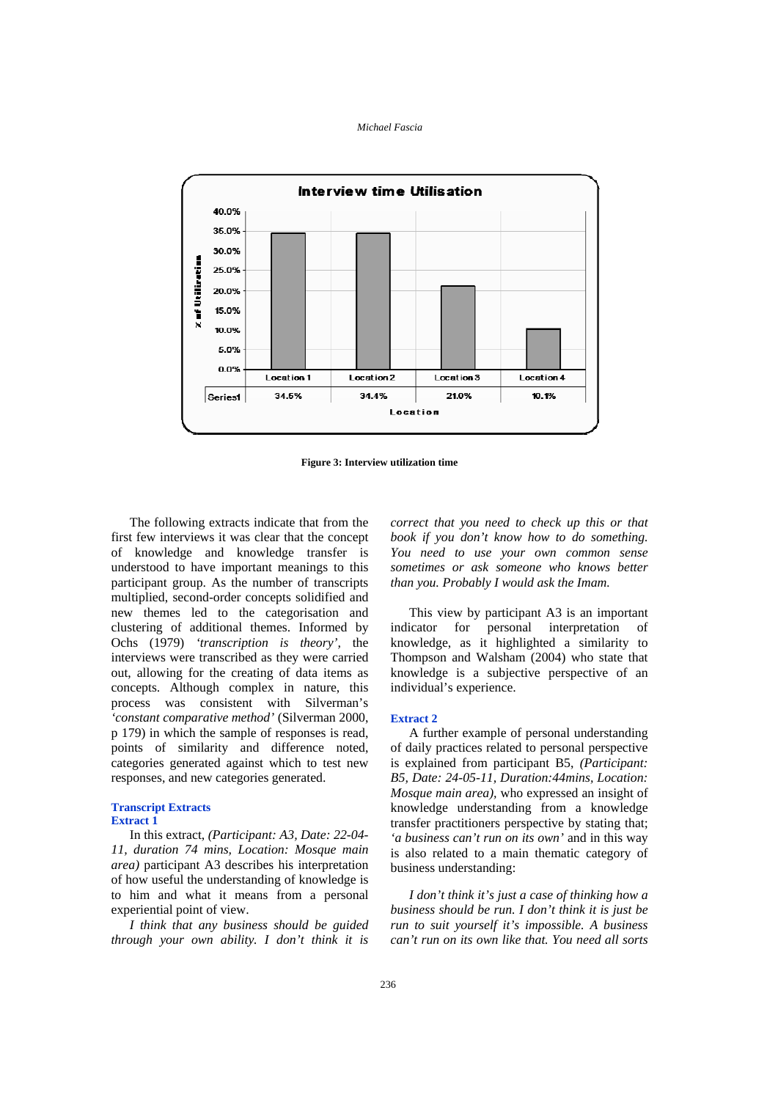

**Figure 3: Interview utilization time** 

The following extracts indicate that from the first few interviews it was clear that the concept of knowledge and knowledge transfer is understood to have important meanings to this participant group. As the number of transcripts multiplied, second-order concepts solidified and new themes led to the categorisation and clustering of additional themes. Informed by Ochs (1979) *'transcription is theory',* the interviews were transcribed as they were carried out, allowing for the creating of data items as concepts. Although complex in nature, this process was consistent with Silverman's *'constant comparative method'* (Silverman 2000, p 179) in which the sample of responses is read, points of similarity and difference noted, categories generated against which to test new responses, and new categories generated.

#### **Transcript Extracts Extract 1**

In this extract, *(Participant: A3, Date: 22-04- 11, duration 74 mins, Location: Mosque main area)* participant A3 describes his interpretation of how useful the understanding of knowledge is to him and what it means from a personal experiential point of view.

*I think that any business should be guided through your own ability. I don't think it is*  *correct that you need to check up this or that book if you don't know how to do something. You need to use your own common sense sometimes or ask someone who knows better than you. Probably I would ask the Imam.* 

This view by participant A3 is an important indicator for personal interpretation of knowledge, as it highlighted a similarity to Thompson and Walsham (2004) who state that knowledge is a subjective perspective of an individual's experience.

#### **Extract 2**

A further example of personal understanding of daily practices related to personal perspective is explained from participant B5, *(Participant: B5, Date: 24-05-11, Duration:44mins, Location: Mosque main area),* who expressed an insight of knowledge understanding from a knowledge transfer practitioners perspective by stating that; *'a business can't run on its own'* and in this way is also related to a main thematic category of business understanding:

*I don't think it's just a case of thinking how a business should be run. I don't think it is just be run to suit yourself it's impossible. A business can't run on its own like that. You need all sorts*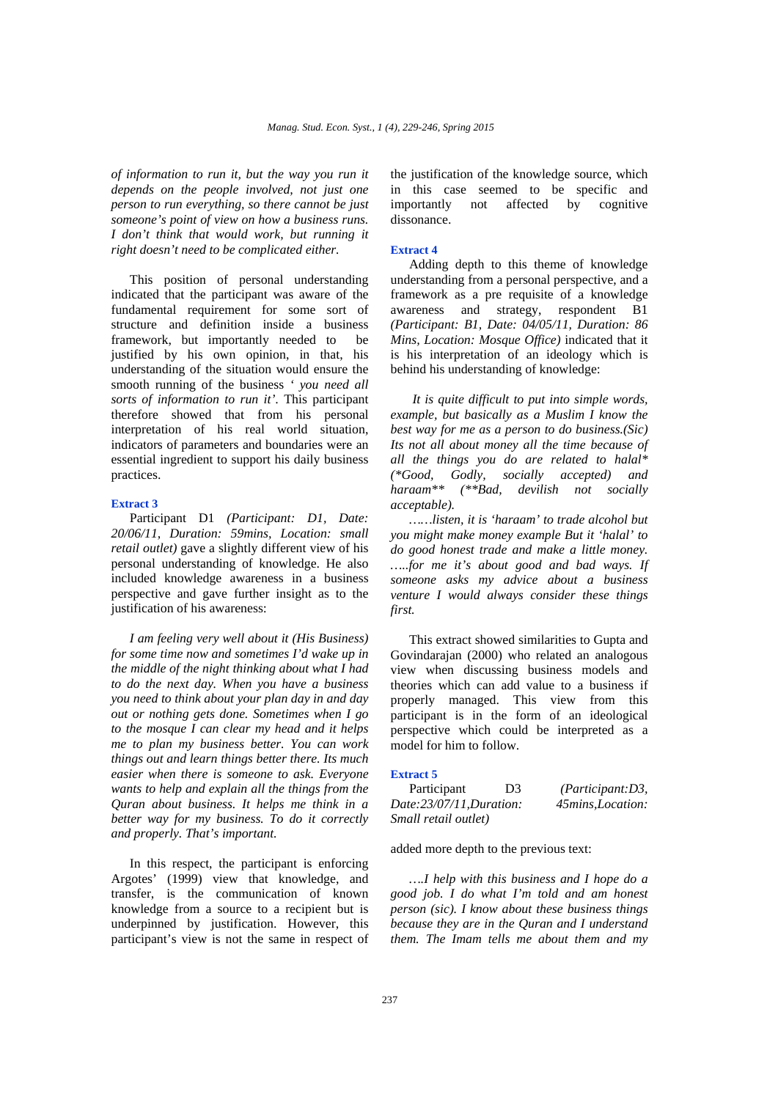*of information to run it, but the way you run it depends on the people involved, not just one person to run everything, so there cannot be just someone's point of view on how a business runs. I don't think that would work, but running it right doesn't need to be complicated either.* 

This position of personal understanding indicated that the participant was aware of the fundamental requirement for some sort of structure and definition inside a business framework, but importantly needed to be justified by his own opinion, in that, his understanding of the situation would ensure the smooth running of the business *' you need all sorts of information to run it'*. This participant therefore showed that from his personal interpretation of his real world situation, indicators of parameters and boundaries were an essential ingredient to support his daily business practices.

#### **Extract 3**

Participant D1 *(Participant: D1, Date: 20/06/11, Duration: 59mins, Location: small retail outlet)* gave a slightly different view of his personal understanding of knowledge. He also included knowledge awareness in a business perspective and gave further insight as to the justification of his awareness:

*I am feeling very well about it (His Business) for some time now and sometimes I'd wake up in the middle of the night thinking about what I had to do the next day. When you have a business you need to think about your plan day in and day out or nothing gets done. Sometimes when I go to the mosque I can clear my head and it helps me to plan my business better. You can work things out and learn things better there. Its much easier when there is someone to ask. Everyone wants to help and explain all the things from the Quran about business. It helps me think in a better way for my business. To do it correctly and properly. That's important.* 

In this respect, the participant is enforcing Argotes' (1999) view that knowledge, and transfer, is the communication of known knowledge from a source to a recipient but is underpinned by justification. However, this participant's view is not the same in respect of

the justification of the knowledge source, which in this case seemed to be specific and importantly not affected by cognitive dissonance.

#### **Extract 4**

Adding depth to this theme of knowledge understanding from a personal perspective, and a framework as a pre requisite of a knowledge awareness and strategy, respondent B1 *(Participant: B1, Date: 04/05/11, Duration: 86 Mins, Location: Mosque Office)* indicated that it is his interpretation of an ideology which is behind his understanding of knowledge:

 *It is quite difficult to put into simple words, example, but basically as a Muslim I know the best way for me as a person to do business.(Sic) Its not all about money all the time because of all the things you do are related to halal\* (\*Good, Godly, socially accepted) and haraam\*\* (\*\*Bad, devilish not socially acceptable).* 

*……listen, it is 'haraam' to trade alcohol but you might make money example But it 'halal' to do good honest trade and make a little money. …..for me it's about good and bad ways. If someone asks my advice about a business venture I would always consider these things first.* 

This extract showed similarities to Gupta and Govindarajan (2000) who related an analogous view when discussing business models and theories which can add value to a business if properly managed. This view from this participant is in the form of an ideological perspective which could be interpreted as a model for him to follow.

### **Extract 5**

| Participant             | D3 | (Participant: D3, |
|-------------------------|----|-------------------|
| Date:23/07/11,Duration: |    | 45mins, Location: |
| Small retail outlet)    |    |                   |

added more depth to the previous text:

*….I help with this business and I hope do a good job. I do what I'm told and am honest person (sic). I know about these business things because they are in the Quran and I understand them. The Imam tells me about them and my*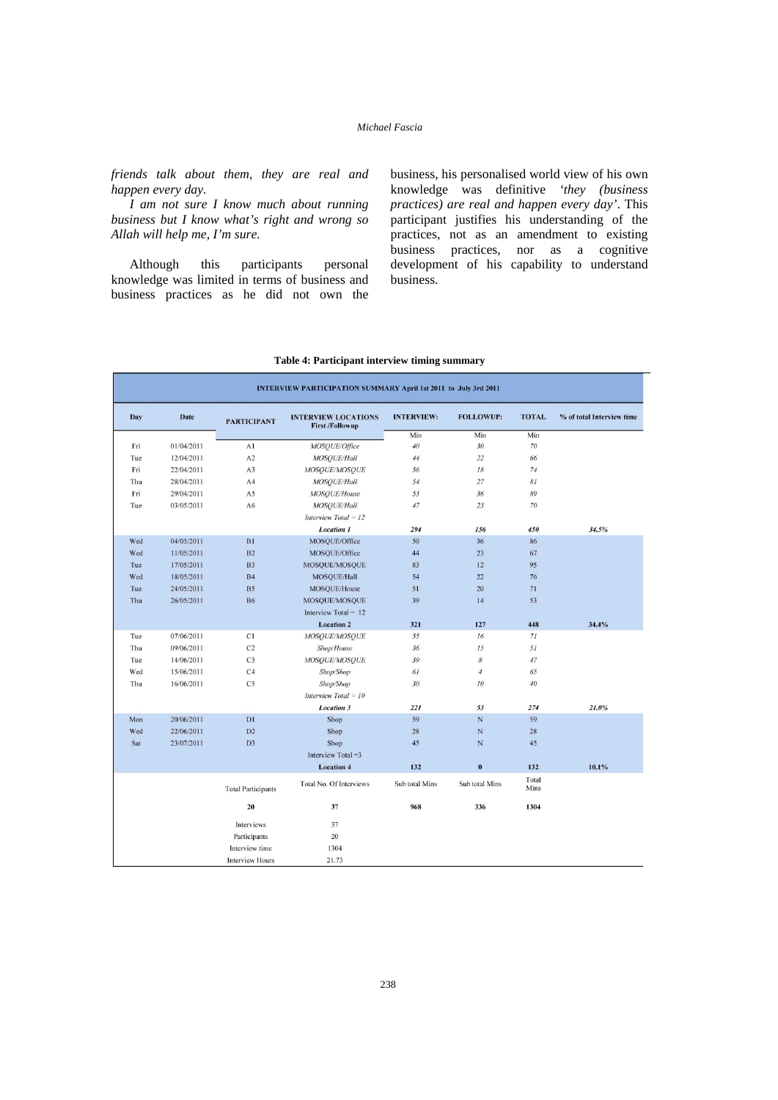*friends talk about them, they are real and happen every day.* 

*I am not sure I know much about running business but I know what's right and wrong so Allah will help me, I'm sure.* 

Although this participants personal knowledge was limited in terms of business and business practices as he did not own the business, his personalised world view of his own knowledge was definitive *'they (business practices) are real and happen every day'*. This participant justifies his understanding of the practices, not as an amendment to existing business practices, nor as a cognitive development of his capability to understand business.

|            |             |                           | <b>INTERVIEW PARTICIPATION SUMMARY April 1st 2011 to July 3rd 2011</b> |                   |                  |               |                           |
|------------|-------------|---------------------------|------------------------------------------------------------------------|-------------------|------------------|---------------|---------------------------|
| <b>Day</b> | <b>Date</b> | <b>PARTICIPANT</b>        | <b>INTERVIEW LOCATIONS</b><br><b>First /Followup</b>                   | <b>INTERVIEW:</b> | <b>FOLLOWUP:</b> | <b>TOTAL</b>  | % of total Interview time |
|            |             |                           |                                                                        | Min               | Min              | Min           |                           |
| Fri        | 01/04/2011  | A1                        | MOSQUE/Office                                                          | 40                | 30               | 70            |                           |
| Tue        | 12/04/2011  | A2                        | MOSQUE/Hall                                                            | 44                | 22               | 66            |                           |
| Fri        | 22/04/2011  | A3                        | MOSQUE/MOSQUE                                                          | 56                | 18               | 74            |                           |
| Thu        | 28/04/2011  | A4                        | MOSOUE/Hall                                                            | 54                | 27               | 81            |                           |
| Fri        | 29/04/2011  | A5                        | MOSOUE/House                                                           | 53                | 36               | 89            |                           |
| Tue        | 03/05/2011  | A6                        | MOSOUE/Hall                                                            | 47                | 23               | 70            |                           |
|            |             |                           | Interview Total = 12                                                   |                   |                  |               |                           |
|            |             |                           | <b>Location 1</b>                                                      | 294               | 156              | 450           | 34.5%                     |
| Wed        | 04/05/2011  | B1                        | MOSQUE/Office                                                          | 50                | 36               | 86            |                           |
| Wed        | 11/05/2011  | B <sub>2</sub>            | MOSQUE/Office                                                          | 44                | 23               | 67            |                           |
| Tue        | 17/05/2011  | <b>B3</b>                 | MOSQUE/MOSQUE                                                          | 83                | 12               | 95            |                           |
| Wed        | 18/05/2011  | <b>B4</b>                 | MOSQUE/Hall                                                            | 54                | 22               | 76            |                           |
| Tue        | 24/05/2011  | <b>B5</b>                 | MOSQUE/House                                                           | 51                | 20               | 71            |                           |
| Thu        | 26/05/2011  | <b>B6</b>                 | MOSQUE/MOSQUE                                                          | 39                | 14               | 53            |                           |
|            |             |                           | Interview Total = $12$                                                 |                   |                  |               |                           |
|            |             |                           | <b>Location 2</b>                                                      | 321               | 127              | 448           | 34.4%                     |
| Tue        | 07/06/2011  | C1                        | MOSOUE/MOSOUE                                                          | 55                | 16               | 71            |                           |
| Thu        | 09/06/2011  | C <sub>2</sub>            | Shop/House                                                             | 36                | 15               | 51            |                           |
| Tue        | 14/06/2011  | C <sub>3</sub>            | MOSQUE/MOSQUE                                                          | 39                | 8                | 47            |                           |
| Wed        | 15/06/2011  | C <sub>4</sub>            | Shop/Shop                                                              | 61                | $\overline{4}$   | 65            |                           |
| Thu        | 16/06/2011  | C <sub>5</sub>            | Shop/Shop                                                              | 30                | 10               | 40            |                           |
|            |             |                           | Interview Total = $10$                                                 |                   |                  |               |                           |
|            |             |                           | <b>Location 3</b>                                                      | 221               | 53               | 274           | 21.0%                     |
| Mon        | 20/06/2011  | D1                        | Shop                                                                   | 59                | N                | 59            |                           |
| Wed        | 22/06/2011  | D2                        | Shop                                                                   | 28                | N                | 28            |                           |
| Sat        | 23/07/2011  | D <sub>3</sub>            | Shop                                                                   | 45                | $\mathbf N$      | 45            |                           |
|            |             |                           | Interview Total $=3$                                                   |                   |                  |               |                           |
|            |             |                           | <b>Location 4</b>                                                      | 132               | $\pmb{0}$        | 132           | 10.1%                     |
|            |             | <b>Total Participants</b> | Total No. Of Interviews                                                | Sub total Mins    | Sub total Mins   | Total<br>Mins |                           |
|            |             | 20                        | 37                                                                     | 968               | 336              | 1304          |                           |
|            |             | Interviews                | 37                                                                     |                   |                  |               |                           |
|            |             | Participants              | 20                                                                     |                   |                  |               |                           |
|            |             | Interview time            | 1304                                                                   |                   |                  |               |                           |
|            |             | <b>Interview Hours</b>    | 21.73                                                                  |                   |                  |               |                           |

# **Table 4: Participant interview timing summary**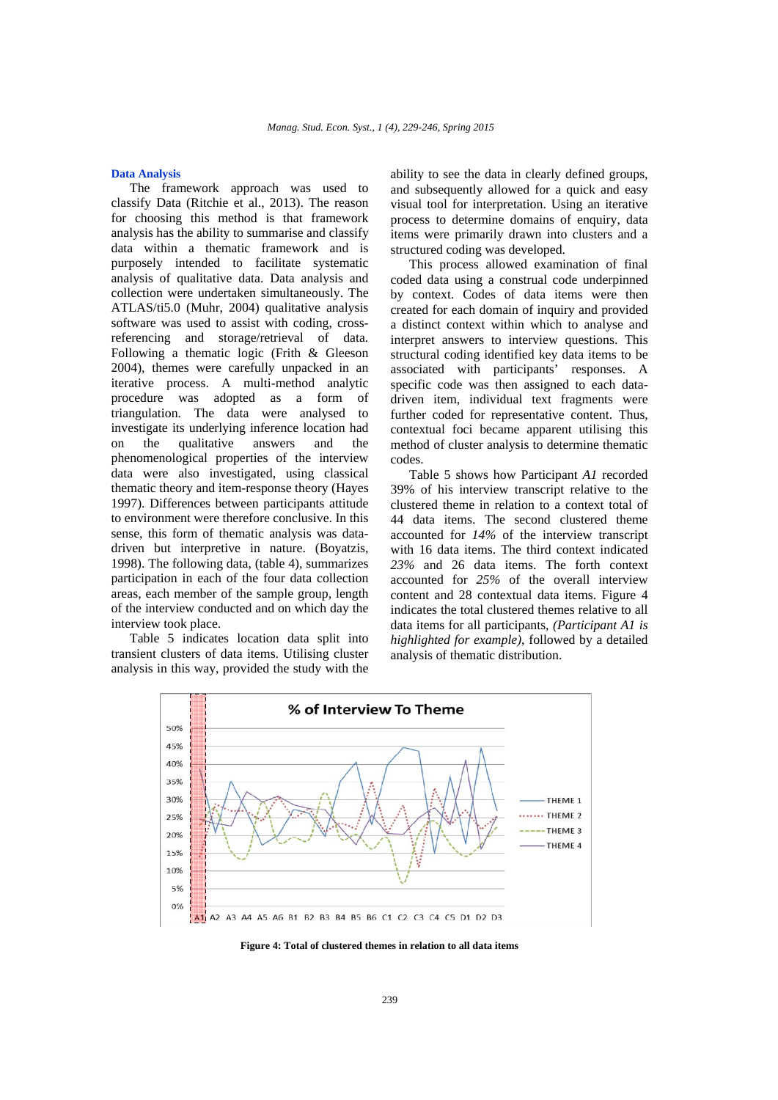### **Data Analysis**

The framework approach was used to classify Data (Ritchie et al., 2013). The reason for choosing this method is that framework analysis has the ability to summarise and classify data within a thematic framework and is purposely intended to facilitate systematic analysis of qualitative data. Data analysis and collection were undertaken simultaneously. The ATLAS/ti5.0 (Muhr, 2004) qualitative analysis software was used to assist with coding, crossreferencing and storage/retrieval of data. Following a thematic logic (Frith & Gleeson 2004), themes were carefully unpacked in an iterative process. A multi-method analytic procedure was adopted as a form of triangulation. The data were analysed to investigate its underlying inference location had on the qualitative answers and the phenomenological properties of the interview data were also investigated, using classical thematic theory and item-response theory (Hayes 1997). Differences between participants attitude to environment were therefore conclusive. In this sense, this form of thematic analysis was datadriven but interpretive in nature. (Boyatzis, 1998). The following data, (table 4), summarizes participation in each of the four data collection areas, each member of the sample group, length of the interview conducted and on which day the interview took place.

Table 5 indicates location data split into transient clusters of data items. Utilising cluster analysis in this way, provided the study with the

ability to see the data in clearly defined groups, and subsequently allowed for a quick and easy visual tool for interpretation. Using an iterative process to determine domains of enquiry, data items were primarily drawn into clusters and a structured coding was developed.

This process allowed examination of final coded data using a construal code underpinned by context. Codes of data items were then created for each domain of inquiry and provided a distinct context within which to analyse and interpret answers to interview questions. This structural coding identified key data items to be associated with participants' responses. A specific code was then assigned to each datadriven item, individual text fragments were further coded for representative content. Thus, contextual foci became apparent utilising this method of cluster analysis to determine thematic codes.

Table 5 shows how Participant *A1* recorded 39% of his interview transcript relative to the clustered theme in relation to a context total of 44 data items. The second clustered theme accounted for *14%* of the interview transcript with 16 data items. The third context indicated *23%* and 26 data items. The forth context accounted for *25%* of the overall interview content and 28 contextual data items. Figure 4 indicates the total clustered themes relative to all data items for all participants, *(Participant A1 is highlighted for example)*, followed by a detailed analysis of thematic distribution.



**Figure 4: Total of clustered themes in relation to all data items**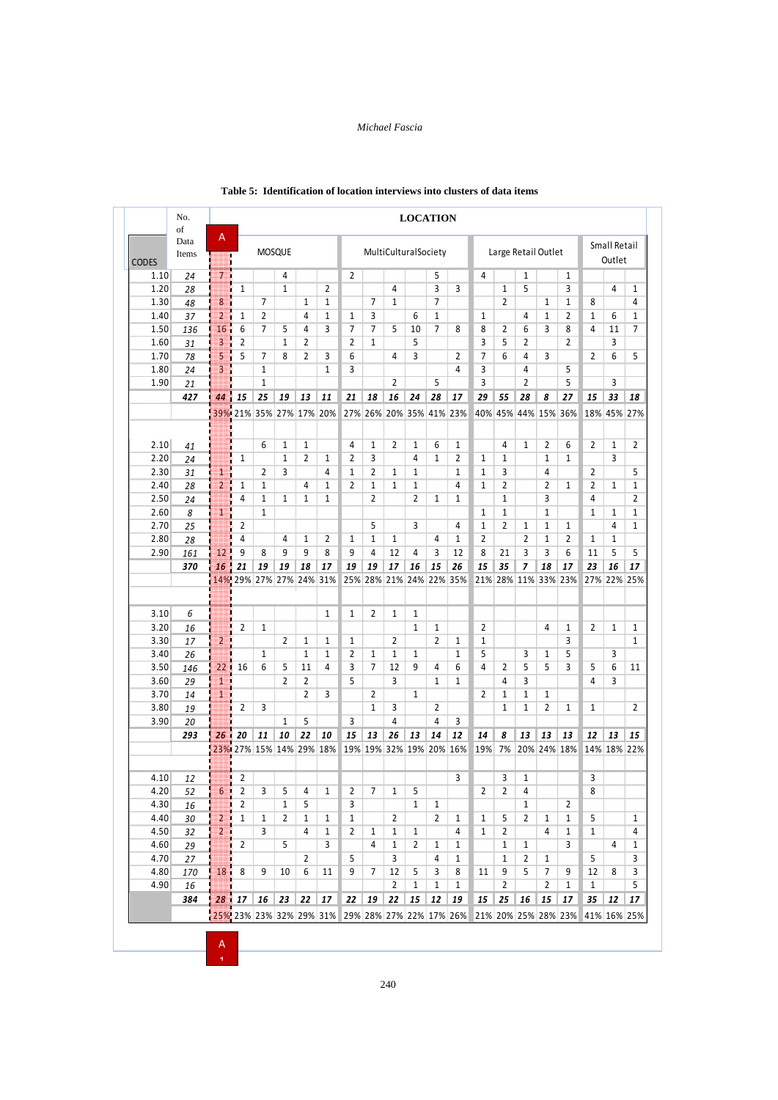|                      | No.<br>of     |                                                   |                         |              |                |                |              |                     |                         |                                               | <b>LOCATION</b> |                |                         |                   |                     |                |                     |                |                     |              |                |
|----------------------|---------------|---------------------------------------------------|-------------------------|--------------|----------------|----------------|--------------|---------------------|-------------------------|-----------------------------------------------|-----------------|----------------|-------------------------|-------------------|---------------------|----------------|---------------------|----------------|---------------------|--------------|----------------|
|                      | Data<br>Items | Α<br>MultiCulturalSociety<br><b>MOSQUE</b><br>ij. |                         |              |                |                |              |                     |                         | Small Retail<br>Large Retail Outlet<br>Outlet |                 |                |                         |                   |                     |                |                     |                |                     |              |                |
| <b>CODES</b><br>1.10 |               |                                                   |                         |              | 4              |                |              | $\overline{2}$      |                         |                                               |                 | 5              |                         | 4                 |                     | $1\,$          |                     | $\mathbf{1}$   |                     |              |                |
|                      | 24            | 711                                               |                         |              | $\mathbf{1}$   |                |              |                     |                         | 4                                             |                 | 3              |                         |                   |                     | 5              |                     | 3              |                     | 4            | $\mathbf{1}$   |
| 1.20                 | 28            |                                                   | 1                       |              |                |                | 2            |                     |                         |                                               |                 | $\overline{7}$ | 3                       |                   | $\mathbf{1}$        |                |                     |                |                     |              |                |
| 1.30                 | 48            | 8                                                 |                         | 7            |                | $\mathbf{1}$   | $\mathbf{1}$ |                     | 7                       | $\mathbf{1}$                                  |                 |                |                         |                   | $\overline{2}$      |                | $\mathbf{1}$        | $\mathbf{1}$   | 8                   |              | 4              |
| 1.40                 | 37            | $\overline{2}$                                    | 1                       | 2            |                | 4              | 1            | 1                   | 3                       |                                               | 6               | 1              |                         | 1                 |                     | 4              | 1                   | $\overline{2}$ | 1                   | 6            | 1              |
| 1.50                 | 136           | 16                                                | 6                       | 7            | 5              | 4              | 3            | 7                   | $\overline{7}$          | 5                                             | 10              | $\overline{7}$ | 8                       | 8                 | 2                   | 6              | 3                   | 8              | 4                   | 11           | $\overline{7}$ |
| 1.60                 | 31            | $\overline{\mathbf{3}}$                           | $\overline{2}$<br>ä     |              | $\mathbf{1}$   | 2              |              | 2                   | $\mathbf{1}$            |                                               | 5               |                |                         | 3                 | 5                   | $\overline{2}$ |                     | $\overline{2}$ |                     | 3            |                |
| 1.70                 | 78            | 5                                                 | 5<br>п                  | 7            | 8              | 2              | 3            | 6                   |                         | 4                                             | 3               |                | 2                       | 7                 | 6                   | $\overline{4}$ | 3                   |                | $\overline{2}$      | 6            | 5              |
| 1.80                 | 24            | 3                                                 |                         | 1            |                |                | $\mathbf{1}$ | 3                   |                         |                                               |                 |                | 4                       | 3                 |                     | 4              |                     | 5              |                     |              |                |
| 1.90                 | 21            |                                                   |                         | 1            |                |                |              |                     |                         | $\overline{2}$                                |                 | 5              |                         | 3                 |                     | $\overline{2}$ |                     | 5              |                     | 3            |                |
|                      | 427           | 44                                                | 15                      | 25           | 19             | 13             | 11           | 21                  | 18                      | 16                                            | 24              | 28             | 17                      | 29                | 55                  | 28             | 8                   | 27             | 15                  | 33           | 18             |
|                      |               |                                                   | 39% 21% 35% 27% 17% 20% |              |                |                |              |                     |                         |                                               |                 |                | 27% 26% 20% 35% 41% 23% |                   |                     |                | 40% 45% 44% 15% 36% |                |                     | 18% 45% 27%  |                |
| 2.10                 |               |                                                   |                         | 6            | 1              | 1              |              | 4                   | 1                       | $\overline{2}$                                | 1               | 6              | $\mathbf{1}$            |                   | 4                   | $\mathbf{1}$   | $\overline{2}$      | 6              | 2                   | 1            | $\overline{2}$ |
|                      | 41            |                                                   | 1                       |              | 1              | 2              | $\mathbf{1}$ | 2                   | 3                       |                                               | 4               | $\mathbf{1}$   | 2                       | $\mathbf{1}$      | $\mathbf{1}$        |                | $\mathbf{1}$        | $\mathbf{1}$   |                     | 3            |                |
| 2.20                 | 24            |                                                   |                         |              |                |                | 4            |                     |                         |                                               |                 |                |                         |                   |                     |                | 4                   |                |                     |              | 5              |
| 2.30<br>2.40         | 31            | 1<br>$\overline{2}$                               | 1                       | 2<br>1       | 3              | 4              | $\mathbf{1}$ | 1<br>$\overline{2}$ | 2<br>$\mathbf{1}$       | 1<br>$\mathbf{1}$                             | 1<br>1          |                | 1<br>4                  | 1<br>$\mathbf{1}$ | 3<br>$\overline{2}$ |                | $\overline{2}$      | 1              | 2<br>$\overline{2}$ | $\mathbf{1}$ | $\mathbf{1}$   |
|                      | 28            |                                                   | 4                       |              |                | $\mathbf{1}$   | $\mathbf{1}$ |                     | $\overline{2}$          |                                               | $\overline{2}$  | $\mathbf{1}$   | $\mathbf{1}$            |                   | $\mathbf{1}$        |                | 3                   |                | 4                   |              |                |
| 2.50                 | 24            |                                                   |                         | 1            | $\mathbf{1}$   |                |              |                     |                         |                                               |                 |                |                         |                   |                     |                |                     |                |                     |              | $\overline{2}$ |
| 2.60                 | 8             | 1                                                 |                         | 1            |                |                |              |                     |                         |                                               |                 |                |                         | 1                 | $\mathbf{1}$        |                | $\mathbf{1}$        |                | $\mathbf{1}$        | 1<br>4       | $\mathbf{1}$   |
| 2.70                 | 25            |                                                   | 2                       |              |                |                |              |                     | 5                       |                                               | 3               |                | 4                       | $\mathbf{1}$      | $\overline{2}$      | $\mathbf{1}$   | $\mathbf{1}$        | $\mathbf{1}$   |                     |              | $\mathbf{1}$   |
| 2.80                 | 28            |                                                   | 4                       |              | 4              | 1              | 2            | 1                   | 1                       | 1                                             |                 | 4              | 1                       | 2                 |                     | $\overline{2}$ | 1                   | $\overline{2}$ | 1                   | 1            |                |
| 2.90                 | 161           | 12                                                | 9                       | 8            | 9              | 9              | 8            | 9                   | $\overline{4}$          | 12                                            | 4               | 3              | 12                      | 8                 | 21                  | 3              | 3                   | 6              | 11                  | 5            | 5              |
|                      | 370           | 16                                                | 21                      | 19           | 19             | 18             | 17           | 19                  | 19                      | 17                                            | 16              | 15             | 26                      | 15                | 35                  | 7              | 18                  | 17             | 23                  | 16           | 17             |
|                      |               |                                                   | 14% 29% 27% 27% 24% 31% |              |                |                |              |                     | 25% 28% 21% 24% 22% 35% |                                               |                 |                |                         |                   |                     |                | 21% 28% 11% 33% 23% |                |                     | 27% 22% 25%  |                |
|                      |               |                                                   |                         |              |                |                |              |                     |                         |                                               |                 |                |                         |                   |                     |                |                     |                |                     |              |                |
| 3.10                 | 6             |                                                   |                         |              |                |                | $\mathbf{1}$ | $\mathbf{1}$        | 2                       | $\mathbf{1}$                                  | 1               |                |                         |                   |                     |                |                     |                |                     |              |                |
| 3.20                 | 16            |                                                   | 2                       | $\mathbf{1}$ |                |                |              |                     |                         |                                               | $\mathbf{1}$    | $\mathbf{1}$   |                         | $\overline{2}$    |                     |                | 4                   | $\mathbf{1}$   | 2                   | $\mathbf{1}$ | $\mathbf{1}$   |
| 3.30                 | 17            | 2.                                                |                         |              | 2              | 1              | 1            | 1                   |                         | 2                                             |                 | $\overline{2}$ | 1                       | $\mathbf{1}$      |                     |                |                     | 3              |                     |              | $\mathbf{1}$   |
| 3.40                 | 26            |                                                   |                         | 1            |                | $\mathbf{1}$   | $\mathbf{1}$ | 2                   | 1                       | 1                                             | 1               |                | $\mathbf{1}$            | 5                 |                     | 3              | 1                   | 5              |                     | 3            |                |
| 3.50                 | 146           | 22                                                | 16                      | 6            | 5              | 11             | 4            | 3                   | 7                       | 12                                            | 9               | 4              | 6                       | 4                 | 2                   | 5              | 5                   | 3              | 5                   | 6            | 11             |
| 3.60                 | 29            | 1                                                 |                         |              | $\overline{2}$ | 2              |              | 5                   |                         | 3                                             |                 | 1              | $\mathbf{1}$            |                   | 4                   | 3              |                     |                | 4                   | 3            |                |
| 3.70                 | 14            | 1                                                 |                         |              |                | $\overline{2}$ | 3            |                     | $\overline{2}$          |                                               | $\mathbf{1}$    |                |                         | 2                 | $\mathbf{1}$        | $\mathbf{1}$   | $\mathbf{1}$        |                |                     |              |                |
| 3.80                 | 19            |                                                   | 2                       | 3            |                |                |              |                     | $\mathbf{1}$            | 3                                             |                 | 2              |                         |                   | $\mathbf{1}$        | $\mathbf{1}$   | $\overline{2}$      | 1              | 1                   |              | 2              |
| 3.90                 | 20            |                                                   |                         |              | 1              | 5              |              | 3                   |                         | 4                                             |                 | 4              | 3                       |                   |                     |                |                     |                |                     |              |                |
|                      | 293           | 26                                                | 20                      | 11           | 10             | 22             | 10           | 15                  | 13                      | 26                                            | 13              | 14             | 12                      | 14                | 8                   | 13             | 13                  | 13             | 12                  | 13           | 15             |
|                      |               |                                                   | 23% 27% 15% 14% 29% 18% |              |                |                |              |                     | 19% 19% 32% 19% 20% 16% |                                               |                 |                |                         | 19%               | 7%                  |                | 20% 24% 18%         |                |                     | 14% 18% 22%  |                |
|                      |               |                                                   |                         |              |                |                |              |                     |                         |                                               |                 |                |                         |                   |                     |                |                     |                |                     |              |                |
| 4.10                 | 12            |                                                   | 2                       |              |                |                |              |                     |                         |                                               |                 |                | 3                       |                   | 3                   | 1              |                     |                | 3                   |              |                |
| 4.20                 | 52            | $6\phantom{a}$                                    | 2                       | 3            | 5              | 4              | $1\,$        | $\mathbf{2}$        | 7                       | $\mathbf{1}$                                  | 5               |                |                         | 2                 | 2                   | 4              |                     |                | 8                   |              |                |
| 4.30                 | 16            |                                                   | 2                       |              | $\mathbf{1}$   | 5              |              | 3                   |                         |                                               | $\mathbf{1}$    | $\mathbf{1}$   |                         |                   |                     | $\mathbf{1}$   |                     | $\overline{2}$ |                     |              |                |
| 4.40                 | 30            | $2 \Box$                                          | $\mathbf{1}$            | $\mathbf{1}$ | $\mathbf{2}$   | $\mathbf{1}$   | $\mathbf{1}$ | $\mathbf{1}$        |                         | 2                                             |                 | $\overline{2}$ | $\mathbf{1}$            | $\mathbf{1}$      | 5                   | $\mathbf{2}$   | $\mathbf{1}$        | $\mathbf{1}$   | 5                   |              | $\mathbf{1}$   |
| 4.50                 | 32            | 2.5                                               |                         | 3            |                | 4              | $\mathbf{1}$ | $\overline{2}$      | $\mathbf{1}$            | $\mathbf{1}$                                  | $\mathbf{1}$    |                | 4                       | $\mathbf{1}$      | $\overline{2}$      |                | 4                   | $1\,$          | $\mathbf{1}$        |              | 4              |
| 4.60                 | 29            |                                                   | $\overline{2}$          |              | 5              |                | 3            |                     | 4                       | $\mathbf{1}$                                  | 2               | $\mathbf{1}$   | $\mathbf{1}$            |                   | $\mathbf{1}$        | $\mathbf{1}$   |                     | 3              |                     | 4            | $\mathbf{1}$   |
| 4.70                 | 27            |                                                   |                         |              |                | $\mathbf{2}$   |              | 5                   |                         | 3                                             |                 | 4              | $\mathbf{1}$            |                   | $\mathbf{1}$        | $\overline{2}$ | $\mathbf{1}$        |                | 5                   |              | 3              |
|                      | 170           | 18 <sub>1</sub>                                   | 8                       | 9            | 10             | 6              | 11           | 9                   | 7                       | 12                                            | 5               | 3              | 8                       | 11                | 9                   | 5              | $7\overline{ }$     | 9              | 12                  | 8            | 3              |
| 4.80                 |               |                                                   |                         |              |                |                |              |                     |                         | $\overline{2}$                                | $\mathbf{1}$    | $\mathbf{1}$   | $\mathbf{1}$            |                   | $\overline{2}$      |                | $\overline{2}$      | $\mathbf{1}$   | $\mathbf{1}$        |              | $\sqrt{5}$     |
| 4.90                 | 16            |                                                   |                         |              |                |                |              |                     |                         |                                               |                 |                |                         |                   |                     |                |                     |                |                     |              |                |
|                      | 384           |                                                   | 28117                   | 16           | 23             | 22             | 17           | 22                  | 19                      | 22                                            | 15              | $12\,$         | 19                      | 15                | 25                  | 16             | 15                  | 17             | 35                  | 12           | 17             |

## **Table 5: Identification of location interviews into clusters of data items**

 $\overline{1}$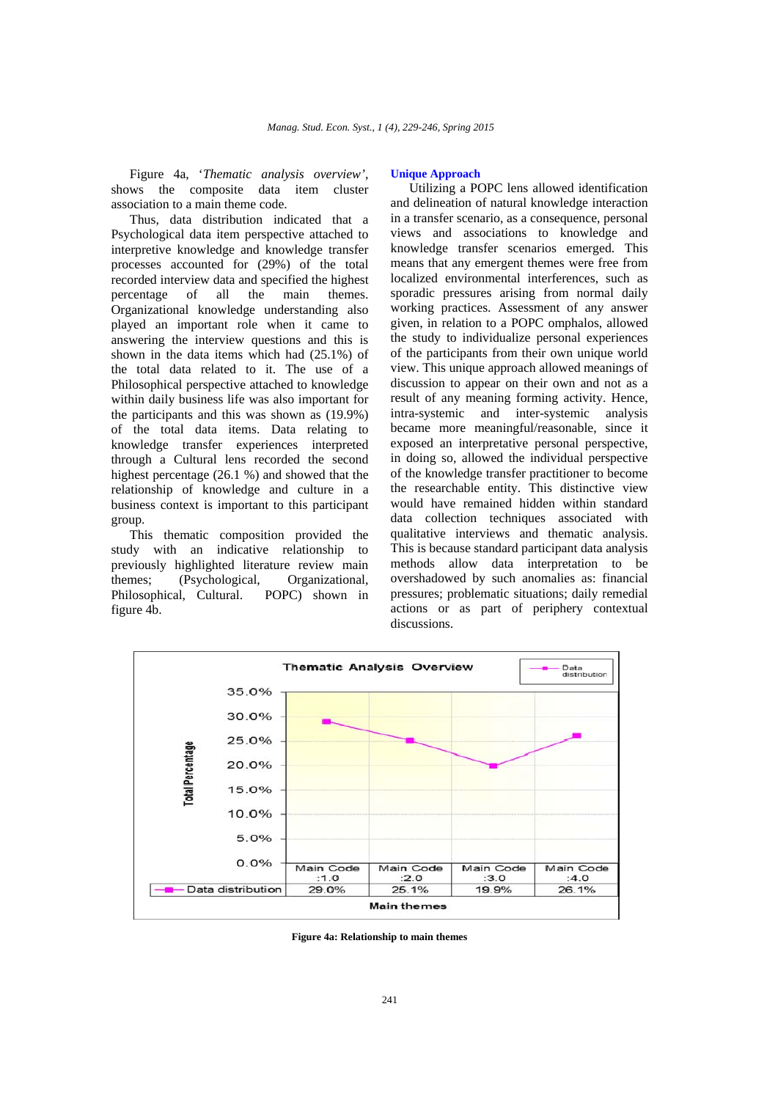Figure 4a, '*Thematic analysis overview'*, shows the composite data item cluster association to a main theme code.

Thus, data distribution indicated that a Psychological data item perspective attached to interpretive knowledge and knowledge transfer processes accounted for (29%) of the total recorded interview data and specified the highest<br>percentage of all the main themes. of all the main themes. Organizational knowledge understanding also played an important role when it came to answering the interview questions and this is shown in the data items which had (25.1%) of the total data related to it. The use of a Philosophical perspective attached to knowledge within daily business life was also important for the participants and this was shown as (19.9%) of the total data items. Data relating to knowledge transfer experiences interpreted through a Cultural lens recorded the second highest percentage (26.1 %) and showed that the relationship of knowledge and culture in a business context is important to this participant group.

This thematic composition provided the study with an indicative relationship to previously highlighted literature review main themes; (Psychological, Organizational, Philosophical, Cultural. POPC) shown in figure 4b.

### **Unique Approach**

Utilizing a POPC lens allowed identification and delineation of natural knowledge interaction in a transfer scenario, as a consequence, personal views and associations to knowledge and knowledge transfer scenarios emerged. This means that any emergent themes were free from localized environmental interferences, such as sporadic pressures arising from normal daily working practices. Assessment of any answer given, in relation to a POPC omphalos, allowed the study to individualize personal experiences of the participants from their own unique world view. This unique approach allowed meanings of discussion to appear on their own and not as a result of any meaning forming activity. Hence, intra-systemic and inter-systemic analysis became more meaningful/reasonable, since it exposed an interpretative personal perspective, in doing so, allowed the individual perspective of the knowledge transfer practitioner to become the researchable entity. This distinctive view would have remained hidden within standard data collection techniques associated with qualitative interviews and thematic analysis. This is because standard participant data analysis methods allow data interpretation to be overshadowed by such anomalies as: financial pressures; problematic situations; daily remedial actions or as part of periphery contextual discussions.



**Figure 4a: Relationship to main themes**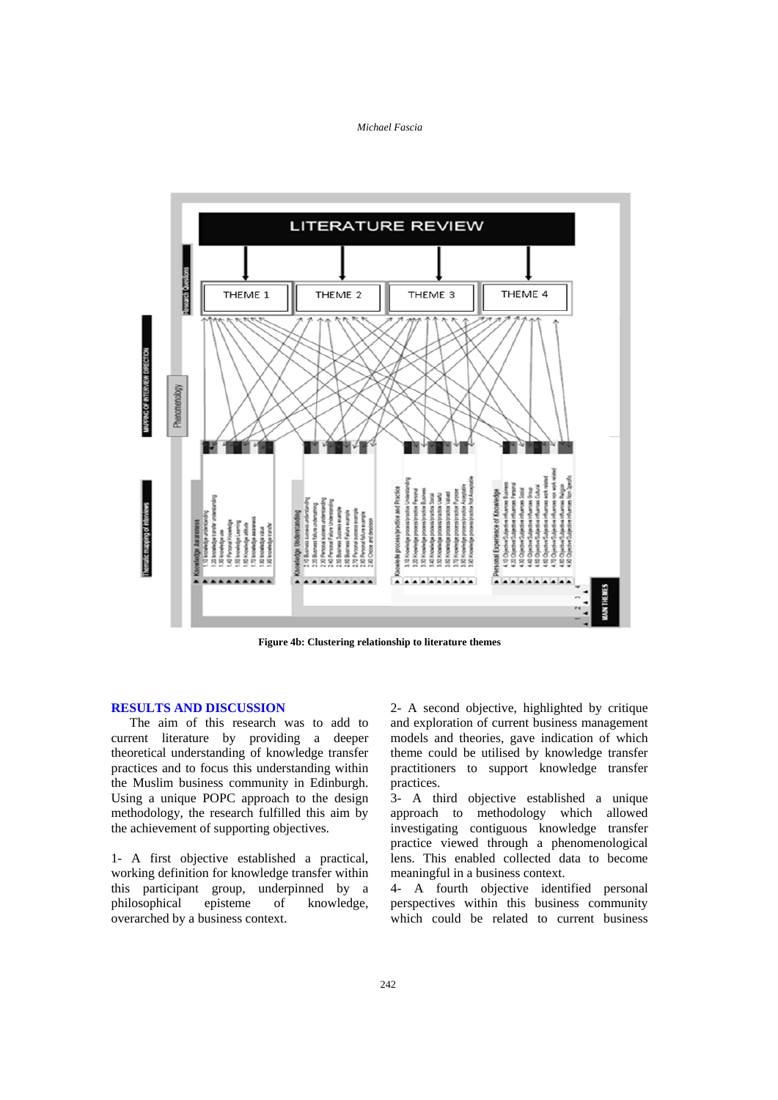

**Figure 4b: Clustering relationship to literature themes** 

### **RESULTS AND DISCUSSION**

The aim of this research was to add to current literature by providing a deeper theoretical understanding of knowledge transfer practices and to focus this understanding within the Muslim business community in Edinburgh. Using a unique POPC approach to the design methodology, the research fulfilled this aim by the achievement of supporting objectives.

1- A first objective established a practical, working definition for knowledge transfer within this participant group, underpinned by a philosophical episteme of knowledge, overarched by a business context.

2- A second objective, highlighted by critique and exploration of current business management models and theories, gave indication of which theme could be utilised by knowledge transfer practitioners to support knowledge transfer practices.

3- A third objective established a unique approach to methodology which allowed investigating contiguous knowledge transfer practice viewed through a phenomenological lens. This enabled collected data to become meaningful in a business context.

4- A fourth objective identified personal perspectives within this business community which could be related to current business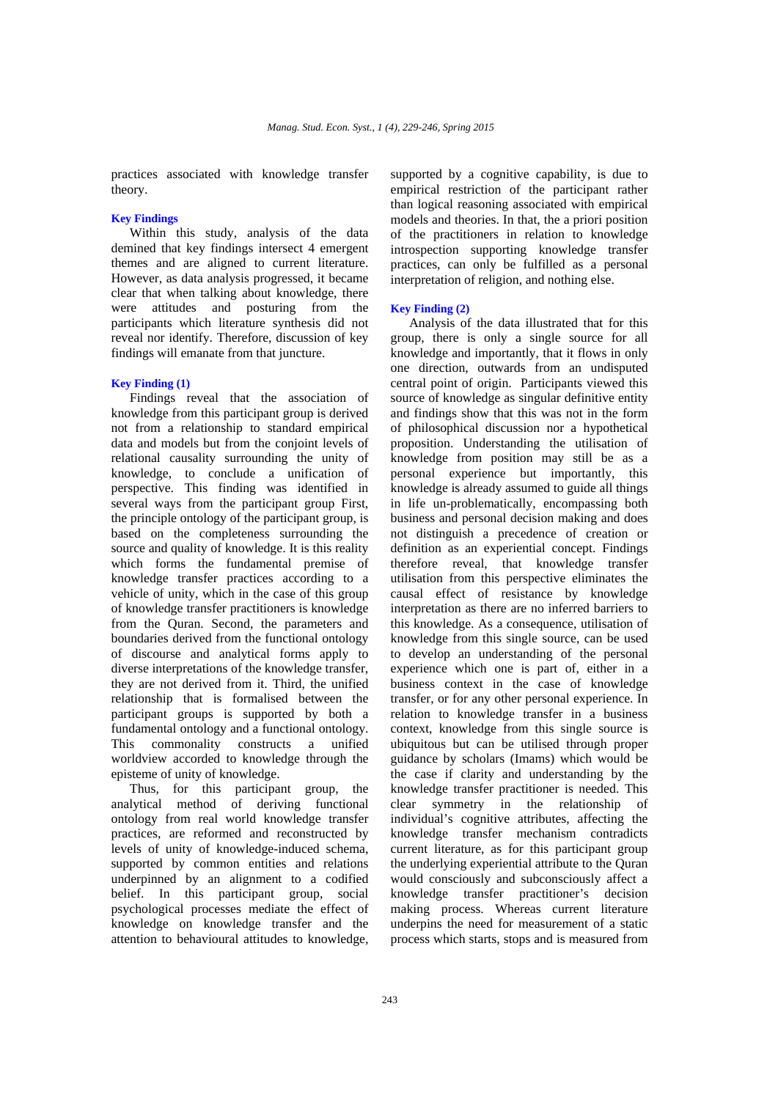practices associated with knowledge transfer theory.

### **Key Findings**

Within this study, analysis of the data demined that key findings intersect 4 emergent themes and are aligned to current literature. However, as data analysis progressed, it became clear that when talking about knowledge, there were attitudes and posturing from the participants which literature synthesis did not reveal nor identify. Therefore, discussion of key findings will emanate from that juncture.

### **Key Finding (1)**

Findings reveal that the association of knowledge from this participant group is derived not from a relationship to standard empirical data and models but from the conjoint levels of relational causality surrounding the unity of knowledge, to conclude a unification of perspective. This finding was identified in several ways from the participant group First, the principle ontology of the participant group, is based on the completeness surrounding the source and quality of knowledge. It is this reality which forms the fundamental premise of knowledge transfer practices according to a vehicle of unity, which in the case of this group of knowledge transfer practitioners is knowledge from the Quran. Second, the parameters and boundaries derived from the functional ontology of discourse and analytical forms apply to diverse interpretations of the knowledge transfer, they are not derived from it. Third, the unified relationship that is formalised between the participant groups is supported by both a fundamental ontology and a functional ontology. This commonality constructs a unified worldview accorded to knowledge through the episteme of unity of knowledge.

Thus, for this participant group, the analytical method of deriving functional ontology from real world knowledge transfer practices, are reformed and reconstructed by levels of unity of knowledge-induced schema, supported by common entities and relations underpinned by an alignment to a codified belief. In this participant group, social psychological processes mediate the effect of knowledge on knowledge transfer and the attention to behavioural attitudes to knowledge,

supported by a cognitive capability, is due to empirical restriction of the participant rather than logical reasoning associated with empirical models and theories. In that, the a priori position of the practitioners in relation to knowledge introspection supporting knowledge transfer practices, can only be fulfilled as a personal interpretation of religion, and nothing else.

# **Key Finding (2)**

Analysis of the data illustrated that for this group, there is only a single source for all knowledge and importantly, that it flows in only one direction, outwards from an undisputed central point of origin. Participants viewed this source of knowledge as singular definitive entity and findings show that this was not in the form of philosophical discussion nor a hypothetical proposition. Understanding the utilisation of knowledge from position may still be as a personal experience but importantly, this knowledge is already assumed to guide all things in life un-problematically, encompassing both business and personal decision making and does not distinguish a precedence of creation or definition as an experiential concept. Findings therefore reveal, that knowledge transfer utilisation from this perspective eliminates the causal effect of resistance by knowledge interpretation as there are no inferred barriers to this knowledge. As a consequence, utilisation of knowledge from this single source, can be used to develop an understanding of the personal experience which one is part of, either in a business context in the case of knowledge transfer, or for any other personal experience. In relation to knowledge transfer in a business context, knowledge from this single source is ubiquitous but can be utilised through proper guidance by scholars (Imams) which would be the case if clarity and understanding by the knowledge transfer practitioner is needed. This clear symmetry in the relationship of individual's cognitive attributes, affecting the knowledge transfer mechanism contradicts current literature, as for this participant group the underlying experiential attribute to the Quran would consciously and subconsciously affect a knowledge transfer practitioner's decision making process. Whereas current literature underpins the need for measurement of a static process which starts, stops and is measured from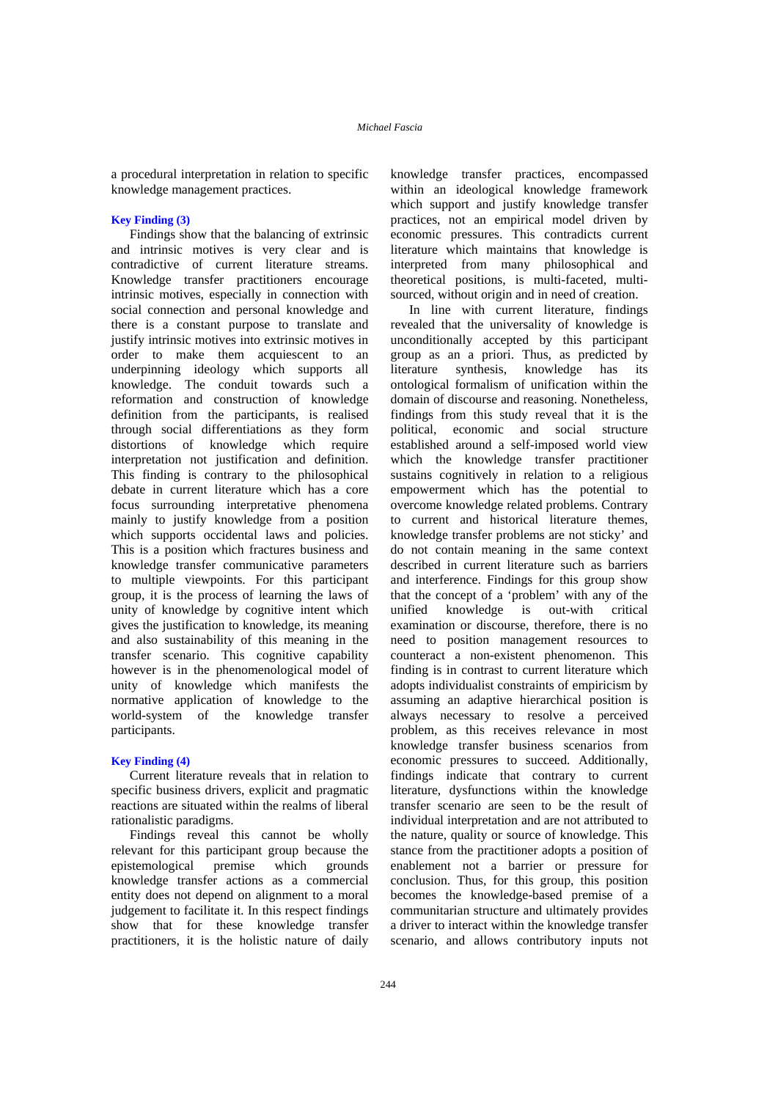a procedural interpretation in relation to specific knowledge management practices.

# **Key Finding (3)**

Findings show that the balancing of extrinsic and intrinsic motives is very clear and is contradictive of current literature streams. Knowledge transfer practitioners encourage intrinsic motives, especially in connection with social connection and personal knowledge and there is a constant purpose to translate and justify intrinsic motives into extrinsic motives in order to make them acquiescent to an underpinning ideology which supports all knowledge. The conduit towards such a reformation and construction of knowledge definition from the participants, is realised through social differentiations as they form distortions of knowledge which require interpretation not justification and definition. This finding is contrary to the philosophical debate in current literature which has a core focus surrounding interpretative phenomena mainly to justify knowledge from a position which supports occidental laws and policies. This is a position which fractures business and knowledge transfer communicative parameters to multiple viewpoints. For this participant group, it is the process of learning the laws of unity of knowledge by cognitive intent which gives the justification to knowledge, its meaning and also sustainability of this meaning in the transfer scenario. This cognitive capability however is in the phenomenological model of unity of knowledge which manifests the normative application of knowledge to the world-system of the knowledge transfer participants.

### **Key Finding (4)**

Current literature reveals that in relation to specific business drivers, explicit and pragmatic reactions are situated within the realms of liberal rationalistic paradigms.

Findings reveal this cannot be wholly relevant for this participant group because the epistemological premise which grounds knowledge transfer actions as a commercial entity does not depend on alignment to a moral judgement to facilitate it. In this respect findings show that for these knowledge transfer practitioners, it is the holistic nature of daily

knowledge transfer practices, encompassed within an ideological knowledge framework which support and justify knowledge transfer practices, not an empirical model driven by economic pressures. This contradicts current literature which maintains that knowledge is interpreted from many philosophical and theoretical positions, is multi-faceted, multisourced, without origin and in need of creation.

In line with current literature, findings revealed that the universality of knowledge is unconditionally accepted by this participant group as an a priori. Thus, as predicted by literature synthesis, knowledge has its ontological formalism of unification within the domain of discourse and reasoning. Nonetheless, findings from this study reveal that it is the political, economic and social structure established around a self-imposed world view which the knowledge transfer practitioner sustains cognitively in relation to a religious empowerment which has the potential to overcome knowledge related problems. Contrary to current and historical literature themes, knowledge transfer problems are not sticky' and do not contain meaning in the same context described in current literature such as barriers and interference. Findings for this group show that the concept of a 'problem' with any of the unified knowledge is out-with critical examination or discourse, therefore, there is no need to position management resources to counteract a non-existent phenomenon. This finding is in contrast to current literature which adopts individualist constraints of empiricism by assuming an adaptive hierarchical position is always necessary to resolve a perceived problem, as this receives relevance in most knowledge transfer business scenarios from economic pressures to succeed. Additionally, findings indicate that contrary to current literature, dysfunctions within the knowledge transfer scenario are seen to be the result of individual interpretation and are not attributed to the nature, quality or source of knowledge. This stance from the practitioner adopts a position of enablement not a barrier or pressure for conclusion. Thus, for this group, this position becomes the knowledge-based premise of a communitarian structure and ultimately provides a driver to interact within the knowledge transfer scenario, and allows contributory inputs not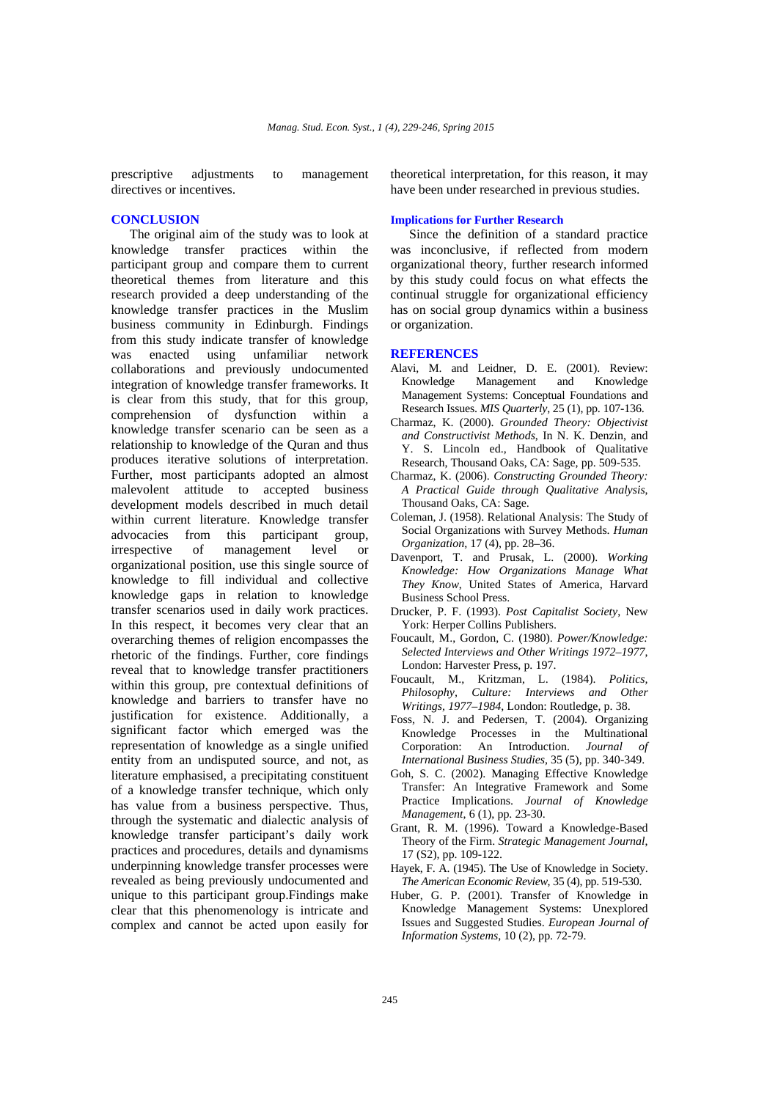prescriptive adjustments to management directives or incentives.

# **CONCLUSION**

The original aim of the study was to look at knowledge transfer practices within the participant group and compare them to current theoretical themes from literature and this research provided a deep understanding of the knowledge transfer practices in the Muslim business community in Edinburgh. Findings from this study indicate transfer of knowledge<br>was enacted using unfamiliar network was enacted using unfamiliar network collaborations and previously undocumented integration of knowledge transfer frameworks. It is clear from this study, that for this group, comprehension of dysfunction within a knowledge transfer scenario can be seen as a relationship to knowledge of the Quran and thus produces iterative solutions of interpretation. Further, most participants adopted an almost malevolent attitude to accepted business development models described in much detail within current literature. Knowledge transfer advocacies from this participant group, irrespective of management level or organizational position, use this single source of knowledge to fill individual and collective knowledge gaps in relation to knowledge transfer scenarios used in daily work practices. In this respect, it becomes very clear that an overarching themes of religion encompasses the rhetoric of the findings. Further, core findings reveal that to knowledge transfer practitioners within this group, pre contextual definitions of knowledge and barriers to transfer have no justification for existence. Additionally, a significant factor which emerged was the representation of knowledge as a single unified entity from an undisputed source, and not, as literature emphasised, a precipitating constituent of a knowledge transfer technique, which only has value from a business perspective. Thus, through the systematic and dialectic analysis of knowledge transfer participant's daily work practices and procedures, details and dynamisms underpinning knowledge transfer processes were revealed as being previously undocumented and unique to this participant group.Findings make clear that this phenomenology is intricate and complex and cannot be acted upon easily for

theoretical interpretation, for this reason, it may have been under researched in previous studies.

# **Implications for Further Research**

Since the definition of a standard practice was inconclusive, if reflected from modern organizational theory, further research informed by this study could focus on what effects the continual struggle for organizational efficiency has on social group dynamics within a business or organization.

#### **REFERENCES**

- Alavi, M. and Leidner, D. E. (2001). Review: Knowledge Management and Knowledge Management Systems: Conceptual Foundations and Research Issues. *MIS Quarterly*, 25 (1), pp. 107-136.
- Charmaz, K. (2000). *Grounded Theory: Objectivist and Constructivist Methods*, In N. K. Denzin, and Y. S. Lincoln ed., Handbook of Qualitative Research, Thousand Oaks, CA: Sage, pp. 509-535.
- Charmaz, K. (2006). *Constructing Grounded Theory: A Practical Guide through Qualitative Analysis*, Thousand Oaks, CA: Sage.
- Coleman, J. (1958). Relational Analysis: The Study of Social Organizations with Survey Methods. *Human Organization*, 17 (4), pp. 28–36.
- Davenport, T. and Prusak, L. (2000). *Working Knowledge: How Organizations Manage What They Know*, United States of America, Harvard Business School Press.
- Drucker, P. F. (1993). *Post Capitalist Society*, New York: Herper Collins Publishers.
- Foucault, M., Gordon, C. (1980). *Power/Knowledge: Selected Interviews and Other Writings 1972–1977*, London: Harvester Press, p. 197.
- Foucault, M., Kritzman, L. (1984). *Politics, Philosophy, Culture: Interviews and Other Writings, 1977–1984*, London: Routledge, p. 38.
- Foss, N. J. and Pedersen, T. (2004). Organizing Knowledge Processes in the Multinational Corporation: An Introduction. *Journal of International Business Studies*, 35 (5), pp. 340-349.
- Goh, S. C. (2002). Managing Effective Knowledge Transfer: An Integrative Framework and Some Practice Implications. *Journal of Knowledge Management*, 6 (1), pp. 23-30.
- Grant, R. M. (1996). Toward a Knowledge-Based Theory of the Firm. *Strategic Management Journal*, 17 (S2), pp. 109-122.
- Hayek, F. A. (1945). The Use of Knowledge in Society. *The American Economic Review*, 35 (4), pp. 519-530.
- Huber, G. P. (2001). Transfer of Knowledge in Knowledge Management Systems: Unexplored Issues and Suggested Studies. *European Journal of Information Systems*, 10 (2), pp. 72-79.